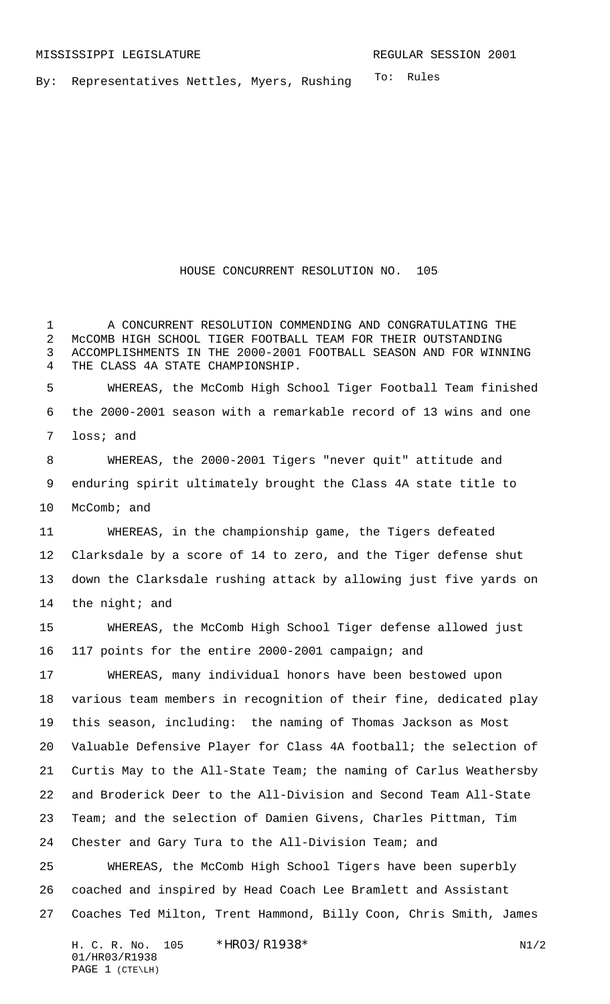To: Rules By: Representatives Nettles, Myers, Rushing

## HOUSE CONCURRENT RESOLUTION NO. 105

 A CONCURRENT RESOLUTION COMMENDING AND CONGRATULATING THE McCOMB HIGH SCHOOL TIGER FOOTBALL TEAM FOR THEIR OUTSTANDING ACCOMPLISHMENTS IN THE 2000-2001 FOOTBALL SEASON AND FOR WINNING THE CLASS 4A STATE CHAMPIONSHIP.

 WHEREAS, the McComb High School Tiger Football Team finished the 2000-2001 season with a remarkable record of 13 wins and one loss; and

 WHEREAS, the 2000-2001 Tigers "never quit" attitude and enduring spirit ultimately brought the Class 4A state title to McComb; and

 WHEREAS, in the championship game, the Tigers defeated Clarksdale by a score of 14 to zero, and the Tiger defense shut down the Clarksdale rushing attack by allowing just five yards on 14 the night; and

 WHEREAS, the McComb High School Tiger defense allowed just 117 points for the entire 2000-2001 campaign; and

 WHEREAS, many individual honors have been bestowed upon various team members in recognition of their fine, dedicated play this season, including: the naming of Thomas Jackson as Most Valuable Defensive Player for Class 4A football; the selection of Curtis May to the All-State Team; the naming of Carlus Weathersby and Broderick Deer to the All-Division and Second Team All-State Team; and the selection of Damien Givens, Charles Pittman, Tim Chester and Gary Tura to the All-Division Team; and

 WHEREAS, the McComb High School Tigers have been superbly coached and inspired by Head Coach Lee Bramlett and Assistant Coaches Ted Milton, Trent Hammond, Billy Coon, Chris Smith, James

H. C. R. No. \*HRO3/R1938\* N1/2 01/HR03/R1938 PAGE 1 (CTE\LH)